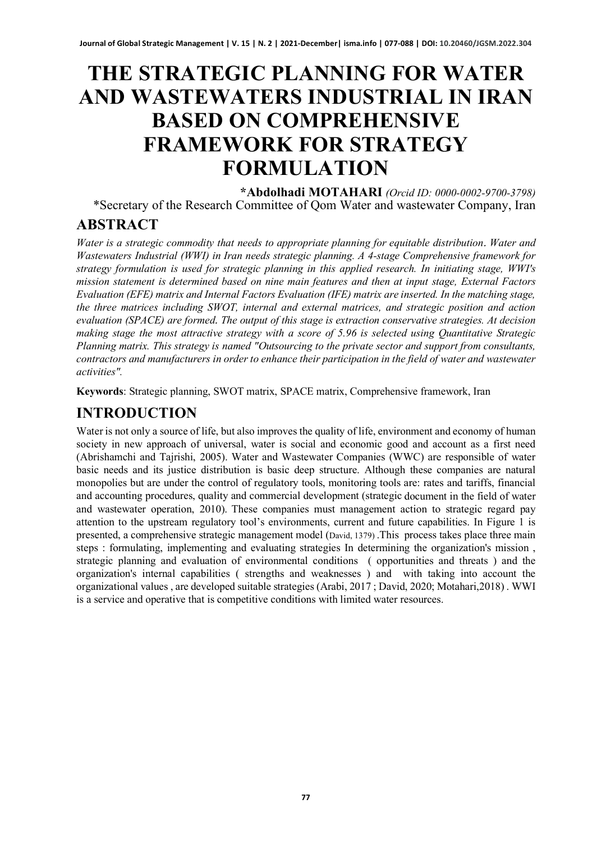# **THE STRATEGIC PLANNING FOR WATER AND WASTEWATERS INDUSTRIAL IN IRAN BASED ON COMPREHENSIVE FRAMEWORK FOR STRATEGY FORMULATION**

**\*Abdolhadi MOTAHARI** *(Orcid ID: 0000-0002-9700-3798)* \*Secretary of the Research Committee of Qom Water and wastewater Company, Iran

# **ABSTRACT**

*Water is a strategic commodity that needs to appropriate planning for equitable distribution*. *Water and Wastewaters Industrial (WWI) in Iran needs strategic planning. A 4-stage Comprehensive framework for strategy formulation is used for strategic planning in this applied research. In initiating stage, WWI's mission statement is determined based on nine main features and then at input stage, External Factors Evaluation (EFE) matrix and Internal Factors Evaluation (IFE) matrix are inserted. In the matching stage, the three matrices including SWOT, internal and external matrices, and strategic position and action evaluation (SPACE) are formed* . *The output of this stage is extraction conservative strategies. At decision making stage the most attractive strategy with a score of 5.96 is selected using Quantitative Strategic Planning matrix. This strategy is named "Outsourcing to the private sector and support from consultants, contractors and manufacturers in order to enhance their participation in the field of water and wastewater activities".*

**Keywords**: Strategic planning, SWOT matrix, SPACE matrix, Comprehensive framework, Iran

# **INTRODUCTION**

Water is not only a source of life, but also improves the quality of life, environment and economy of human society in new approach of universal, water is social and economic good and account as a first need (Abrishamchi and Tajrishi, 2005). Water and Wastewater Companies (WWC) are responsible of water basic needs and its justice distribution is basic deep structure. Although these companies are natural monopolies but are under the control of regulatory tools, monitoring tools are: rates and tariffs, financial and accounting procedures, quality and commercial development (strategic document in the field of water and wastewater operation, 2010). These companies must management action to strategic regard pay attention to the upstream regulatory tool's environments, current and future capabilities. In Figure 1 is presented, a comprehensive strategic management model (David, 1379) .This process takes place three main steps : formulating, implementing and evaluating strategies In determining the organization's mission , strategic planning and evaluation of environmental conditions ( opportunities and threats ) and the organization's internal capabilities ( strengths and weaknesses ) and with taking into account the organizational values , are developed suitable strategies (Arabi, 2017 ; David, 2020; Motahari,2018) . WWI is a service and operative that is competitive conditions with limited water resources.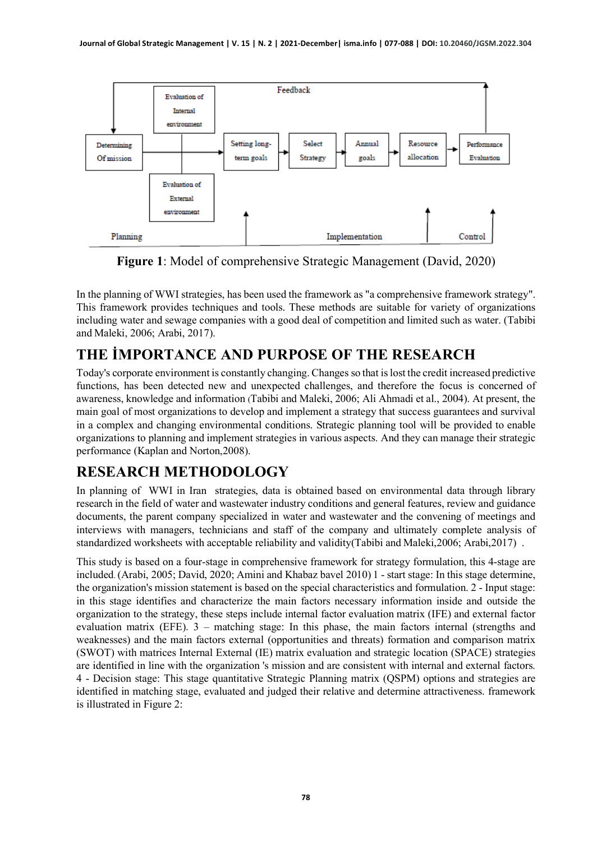

**Figure 1**: Model of comprehensive Strategic Management (David, 2020)

In the planning of WWI strategies, has been used the framework as "a comprehensive framework strategy". This framework provides techniques and tools. These methods are suitable for variety of organizations including water and sewage companies with a good deal of competition and limited such as water. (Tabibi and Maleki, 2006; Arabi, 2017).

# **THE İMPORTANCE AND PURPOSE OF THE RESEARCH**

Today's corporate environment is constantly changing. Changes so that is lost the credit increased predictive functions, has been detected new and unexpected challenges, and therefore the focus is concerned of awareness, knowledge and information (Tabibi and Maleki, 2006; Ali Ahmadi et al., 2004). At present, the main goal of most organizations to develop and implement a strategy that success guarantees and survival in a complex and changing environmental conditions. Strategic planning tool will be provided to enable organizations to planning and implement strategies in various aspects. And they can manage their strategic performance (Kaplan and Norton,2008).

# **RESEARCH METHODOLOGY**

In planning of WWI in Iran strategies, data is obtained based on environmental data through library research in the field of water and wastewater industry conditions and general features, review and guidance documents, the parent company specialized in water and wastewater and the convening of meetings and interviews with managers, technicians and staff of the company and ultimately complete analysis of standardized worksheets with acceptable reliability and validity(Tabibi and Maleki,2006; Arabi,2017) .

This study is based on a four-stage in comprehensive framework for strategy formulation, this 4-stage are included. (Arabi, 2005; David, 2020; Amini and Khabaz bavel 2010) 1 - start stage: In this stage determine, the organization's mission statement is based on the special characteristics and formulation. 2 - Input stage: in this stage identifies and characterize the main factors necessary information inside and outside the organization to the strategy, these steps include internal factor evaluation matrix (IFE) and external factor evaluation matrix (EFE). 3 – matching stage: In this phase, the main factors internal (strengths and weaknesses) and the main factors external (opportunities and threats) formation and comparison matrix (SWOT) with matrices Internal External (IE) matrix evaluation and strategic location (SPACE) strategies are identified in line with the organization 's mission and are consistent with internal and external factors. 4 - Decision stage: This stage quantitative Strategic Planning matrix (QSPM) options and strategies are identified in matching stage, evaluated and judged their relative and determine attractiveness. framework is illustrated in Figure 2: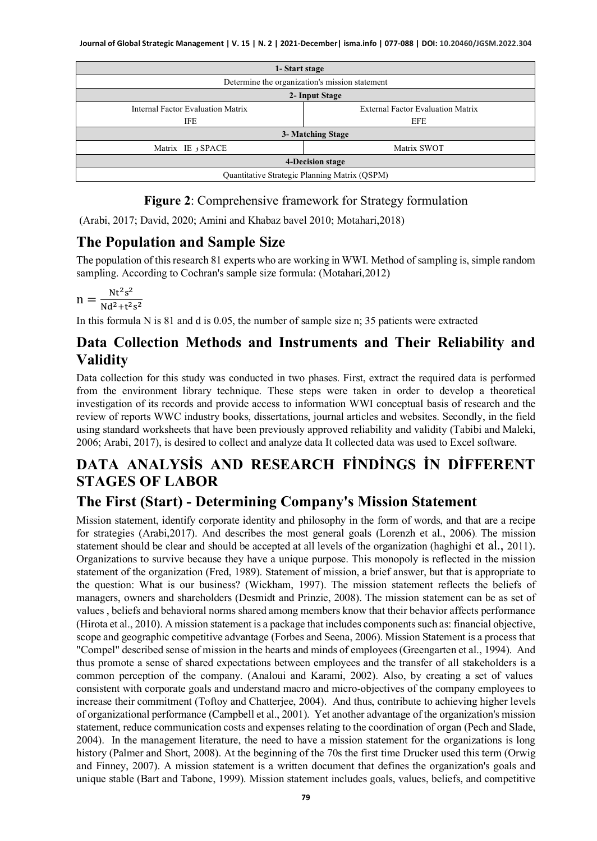| 1-Start stage                                  |                                          |  |  |  |  |  |
|------------------------------------------------|------------------------------------------|--|--|--|--|--|
| Determine the organization's mission statement |                                          |  |  |  |  |  |
| 2- Input Stage                                 |                                          |  |  |  |  |  |
| Internal Factor Evaluation Matrix              | <b>External Factor Evaluation Matrix</b> |  |  |  |  |  |
| <b>IFE</b><br>EFE                              |                                          |  |  |  |  |  |
|                                                | 3- Matching Stage                        |  |  |  |  |  |
| SPACE و Matrix IE                              | Matrix SWOT                              |  |  |  |  |  |
| <b>4-Decision stage</b>                        |                                          |  |  |  |  |  |
| Quantitative Strategic Planning Matrix (QSPM)  |                                          |  |  |  |  |  |

#### **Figure 2**: Comprehensive framework for Strategy formulation

(Arabi, 2017; David, 2020; Amini and Khabaz bavel 2010; Motahari,2018)

#### **The Population and Sample Size**

The population of thisresearch 81 experts who are working in WWI. Method of sampling is, simple random sampling. According to Cochran's sample size formula: (Motahari, 2012)

$$
n=\tfrac{Nt^2s^2}{Nd^2+t^2s^2}
$$

In this formula N is 81 and d is 0.05, the number of sample size n; 35 patients were extracted

#### **Data Collection Methods and Instruments and Their Reliability and Validity**

Data collection for this study was conducted in two phases. First, extract the required data is performed from the environment library technique. These steps were taken in order to develop a theoretical investigation of its records and provide access to information WWI conceptual basis of research and the review of reports WWC industry books, dissertations, journal articles and websites. Secondly, in the field using standard worksheets that have been previously approved reliability and validity (Tabibi and Maleki, 2006; Arabi, 2017), is desired to collect and analyze data It collected data was used to Excel software.

## **DATA ANALYSİS AND RESEARCH FİNDİNGS İN DİFFERENT STAGES OF LABOR**

### **The First (Start) - Determining Company's Mission Statement**

Mission statement, identify corporate identity and philosophy in the form of words, and that are a recipe for strategies (Arabi,2017). And describes the most general goals (Lorenzh et al., 2006). The mission statement should be clear and should be accepted at all levels of the organization (haghighi et al., 2011). Organizations to survive because they have a unique purpose. This monopoly is reflected in the mission statement of the organization (Fred, 1989). Statement of mission, a brief answer, but that is appropriate to the question: What is our business? (Wickham, 1997). The mission statement reflects the beliefs of managers, owners and shareholders (Desmidt and Prinzie, 2008). The mission statement can be as set of values , beliefs and behavioral norms shared among members know that their behavior affects performance (Hirota et al., 2010). A mission statement is a package that includes components such as: financial objective, scope and geographic competitive advantage (Forbes and Seena, 2006). Mission Statement is a process that "Compel" described sense of mission in the hearts and minds of employees (Greengarten et al., 1994). And thus promote a sense of shared expectations between employees and the transfer of all stakeholders is a common perception of the company. (Analoui and Karami, 2002). Also, by creating a set of values consistent with corporate goals and understand macro and micro-objectives of the company employees to increase their commitment (Toftoy and Chatterjee, 2004). And thus, contribute to achieving higher levels of organizational performance (Campbell et al., 2001). Yet another advantage of the organization's mission statement, reduce communication costs and expenses relating to the coordination of organ (Pech and Slade, 2004). In the management literature, the need to have a mission statement for the organizations is long history (Palmer and Short, 2008). At the beginning of the 70s the first time Drucker used this term (Orwig and Finney, 2007). A mission statement is a written document that defines the organization's goals and unique stable (Bart and Tabone, 1999). Mission statement includes goals, values, beliefs, and competitive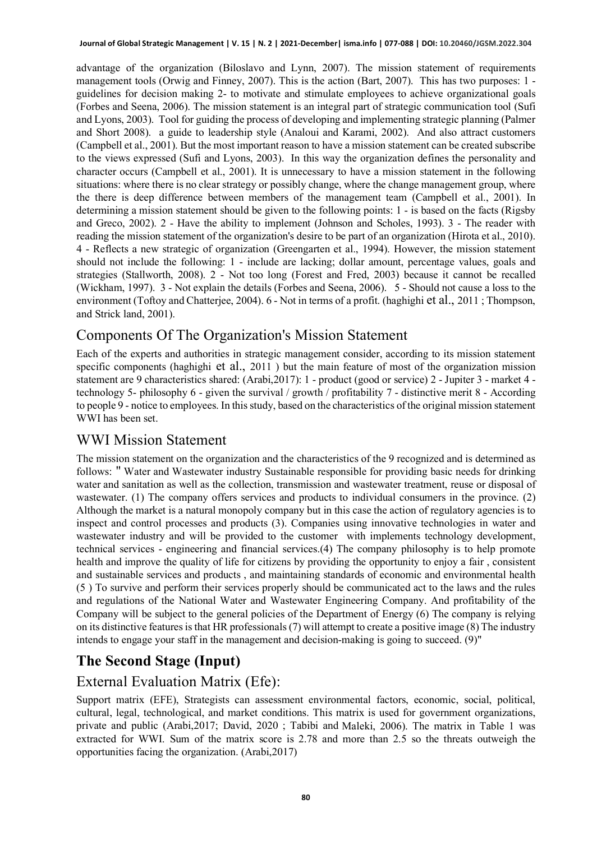advantage of the organization (Biloslavo and Lynn, 2007). The mission statement of requirements management tools (Orwig and Finney, 2007). This is the action (Bart, 2007). This has two purposes: 1 guidelines for decision making 2- to motivate and stimulate employees to achieve organizational goals (Forbes and Seena, 2006). The mission statement is an integral part of strategic communication tool (Sufi and Lyons, 2003). Tool for guiding the process of developing and implementing strategic planning (Palmer and Short 2008). a guide to leadership style (Analoui and Karami, 2002). And also attract customers (Campbell et al., 2001). But the most important reason to have a mission statement can be created subscribe to the views expressed (Sufi and Lyons, 2003). In this way the organization defines the personality and character occurs (Campbell et al., 2001). It is unnecessary to have a mission statement in the following situations: where there is no clear strategy or possibly change, where the change management group, where the there is deep difference between members of the management team (Campbell et al., 2001). In determining a mission statement should be given to the following points: 1 - is based on the facts (Rigsby and Greco, 2002). 2 - Have the ability to implement (Johnson and Scholes, 1993). 3 - The reader with reading the mission statement of the organization's desire to be part of an organization (Hirota et al., 2010). 4 - Reflects a new strategic of organization (Greengarten et al., 1994). However, the mission statement should not include the following: 1 - include are lacking; dollar amount, percentage values, goals and strategies (Stallworth, 2008). 2 - Not too long (Forest and Fred, 2003) because it cannot be recalled (Wickham, 1997). 3 - Not explain the details (Forbes and Seena, 2006). 5 - Should not cause a loss to the environment (Toftoy and Chatterjee, 2004). 6 - Not in terms of a profit. (haghighi et al., 2011 ; Thompson, and Strick land, 2001).

### Components Of The Organization's Mission Statement

Each of the experts and authorities in strategic management consider, according to its mission statement specific components (haghighi et al., 2011 ) but the main feature of most of the organization mission statement are 9 characteristics shared: (Arabi,2017): 1 - product (good or service) 2 - Jupiter 3 - market 4 technology 5- philosophy 6 - given the survival / growth / profitability 7 - distinctive merit 8 - According to people 9 - notice to employees. In this study, based on the characteristics of the original mission statement WWI has been set.

#### WWI Mission Statement

The mission statement on the organization and the characteristics of the 9 recognized and is determined as follows: " Water and Wastewater industry Sustainable responsible for providing basic needs for drinking water and sanitation as well as the collection, transmission and wastewater treatment, reuse or disposal of wastewater. (1) The company offers services and products to individual consumers in the province. (2) Although the market is a natural monopoly company but in this case the action of regulatory agencies is to inspect and control processes and products (3). Companies using innovative technologies in water and wastewater industry and will be provided to the customer with implements technology development, technical services - engineering and financial services.(4) The company philosophy is to help promote health and improve the quality of life for citizens by providing the opportunity to enjoy a fair , consistent and sustainable services and products , and maintaining standards of economic and environmental health (5 ) To survive and perform their services properly should be communicated act to the laws and the rules and regulations of the National Water and Wastewater Engineering Company. And profitability of the Company will be subject to the general policies of the Department of Energy (6) The company is relying on its distinctive features is that HR professionals (7) will attempt to create a positive image (8) The industry intends to engage your staff in the management and decision-making is going to succeed. (9)"

### **The Second Stage (Input)**

#### External Evaluation Matrix (Efe):

Support matrix (EFE), Strategists can assessment environmental factors, economic, social, political, cultural, legal, technological, and market conditions. This matrix is used for government organizations, private and public (Arabi,2017; David, 2020 ; Tabibi and Maleki, 2006). The matrix in Table 1 was extracted for WWI. Sum of the matrix score is 2.78 and more than 2.5 so the threats outweigh the opportunities facing the organization. (Arabi,2017)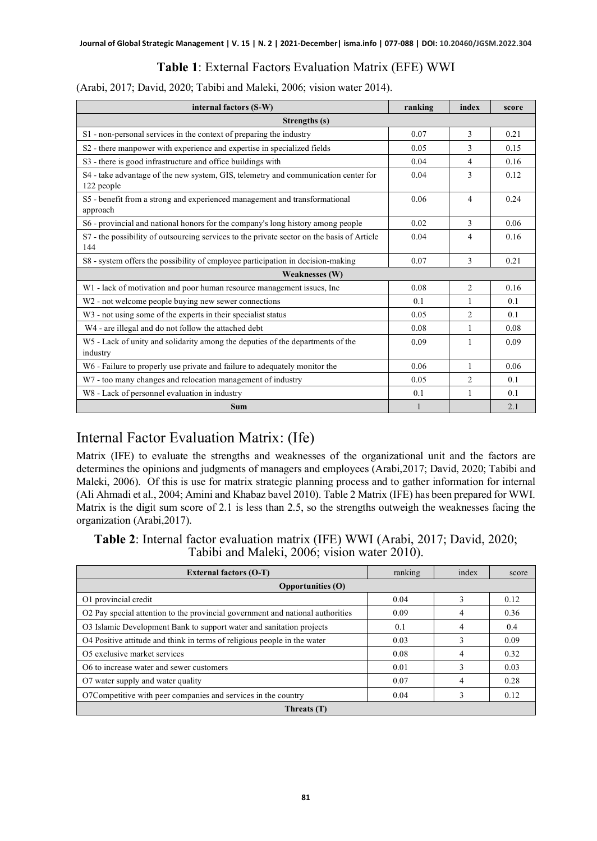#### **Table 1**: External Factors Evaluation Matrix (EFE) WWI

(Arabi, 2017; David, 2020; Tabibi and Maleki, 2006; vision water 2014).

| internal factors (S-W)                                                                            | ranking | index          | score |  |  |  |
|---------------------------------------------------------------------------------------------------|---------|----------------|-------|--|--|--|
| Strengths (s)                                                                                     |         |                |       |  |  |  |
| S1 - non-personal services in the context of preparing the industry                               | 0.07    | $\mathcal{F}$  | 0.21  |  |  |  |
| S2 - there manpower with experience and expertise in specialized fields                           | 0.05    | 3              | 0.15  |  |  |  |
| S3 - there is good infrastructure and office buildings with                                       | 0.04    | 4              | 0.16  |  |  |  |
| S4 - take advantage of the new system, GIS, telemetry and communication center for<br>122 people  | 0.04    | 3              | 0.12  |  |  |  |
| S5 - benefit from a strong and experienced management and transformational<br>approach            | 0.06    | $\overline{4}$ | 0.24  |  |  |  |
| S6 - provincial and national honors for the company's long history among people                   | 0.02    | $\mathcal{F}$  | 0.06  |  |  |  |
| S7 - the possibility of outsourcing services to the private sector on the basis of Article<br>144 | 0.04    | 4              | 0.16  |  |  |  |
| S8 - system offers the possibility of employee participation in decision-making                   | 0.07    | 3              | 0.21  |  |  |  |
| <b>Weaknesses (W)</b>                                                                             |         |                |       |  |  |  |
| W1 - lack of motivation and poor human resource management issues, Inc                            | 0.08    | $\mathfrak{D}$ | 0.16  |  |  |  |
| W <sub>2</sub> - not welcome people buying new sewer connections                                  | 0.1     | 1              | 0.1   |  |  |  |
| W <sub>3</sub> - not using some of the experts in their specialist status                         | 0.05    | 2              | 0.1   |  |  |  |
| W4 - are illegal and do not follow the attached debt                                              | 0.08    | 1              | 0.08  |  |  |  |
| W5 - Lack of unity and solidarity among the deputies of the departments of the<br>industry        | 0.09    | 1              | 0.09  |  |  |  |
| W6 - Failure to properly use private and failure to adequately monitor the                        | 0.06    | $\mathbf{1}$   | 0.06  |  |  |  |
| W7 - too many changes and relocation management of industry                                       | 0.05    | 2              | 0.1   |  |  |  |
| W8 - Lack of personnel evaluation in industry                                                     | 0.1     | 1              | 0.1   |  |  |  |
| <b>Sum</b>                                                                                        |         |                | 2.1   |  |  |  |

### Internal Factor Evaluation Matrix: (Ife)

Matrix (IFE) to evaluate the strengths and weaknesses of the organizational unit and the factors are determines the opinions and judgments of managers and employees (Arabi,2017; David, 2020; Tabibi and Maleki, 2006). Of this is use for matrix strategic planning process and to gather information for internal (Ali Ahmadi et al., 2004; Amini and Khabaz bavel 2010). Table 2 Matrix (IFE) has been prepared for WWI. Matrix is the digit sum score of 2.1 is less than 2.5, so the strengths outweigh the weaknesses facing the organization (Arabi,2017).

**Table 2**: Internal factor evaluation matrix (IFE) WWI (Arabi, 2017; David, 2020; Tabibi and Maleki, 2006; vision water 2010).

| <b>External factors (O-T)</b>                                                  | ranking | index | score |  |  |  |
|--------------------------------------------------------------------------------|---------|-------|-------|--|--|--|
| <b>Opportunities (O)</b>                                                       |         |       |       |  |  |  |
| O1 provincial credit                                                           | 0.04    |       | 0.12  |  |  |  |
| O2 Pay special attention to the provincial government and national authorities | 0.09    | 4     | 0.36  |  |  |  |
| O3 Islamic Development Bank to support water and sanitation projects           | 0.1     | 4     | 0.4   |  |  |  |
| O4 Positive attitude and think in terms of religious people in the water       | 0.03    |       | 0.09  |  |  |  |
| O5 exclusive market services                                                   | 0.08    | 4     | 0.32  |  |  |  |
| O6 to increase water and sewer customers                                       | 0.01    |       | 0.03  |  |  |  |
| O7 water supply and water quality                                              | 0.07    | 4     | 0.28  |  |  |  |
| O7Competitive with peer companies and services in the country                  | 0.04    |       | 0.12  |  |  |  |
| Threats (T)                                                                    |         |       |       |  |  |  |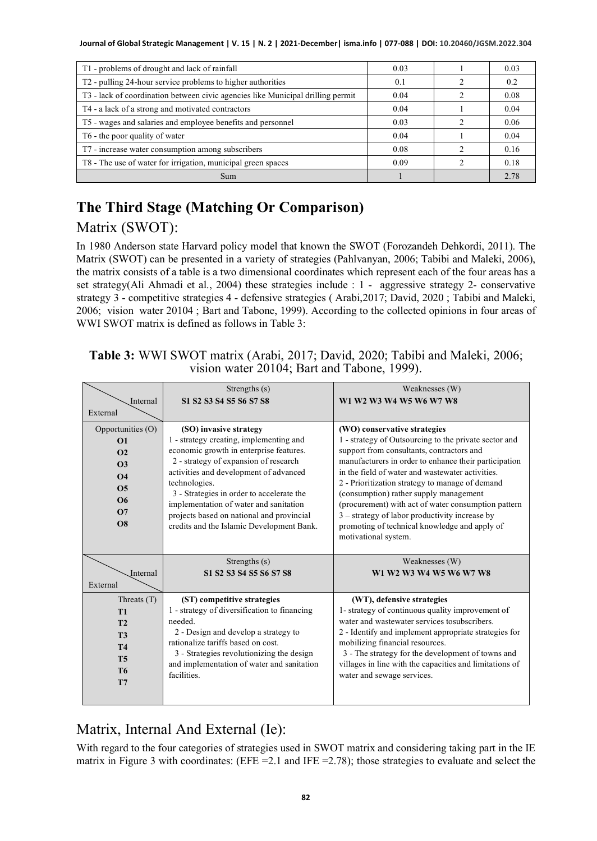**Journal of Global Strategic Management | V. 15 | N. 2 | 2021-December| isma.info | 077-088 | DOI: 10.20460/JGSM.2022.304**

| T1 - problems of drought and lack of rainfall                                   | 0.03 | 0.03 |
|---------------------------------------------------------------------------------|------|------|
| T2 - pulling 24-hour service problems to higher authorities                     | 0.1  | 0.2  |
| T3 - lack of coordination between civic agencies like Municipal drilling permit | 0.04 | 0.08 |
| T4 - a lack of a strong and motivated contractors                               | 0.04 | 0.04 |
| T5 - wages and salaries and employee benefits and personnel                     | 0.03 | 0.06 |
| T6 - the poor quality of water                                                  | 0.04 | 0.04 |
| T7 - increase water consumption among subscribers                               | 0.08 | 0.16 |
| T8 - The use of water for irrigation, municipal green spaces                    | 0.09 | 0.18 |
| Sum                                                                             |      | 2.78 |

# **The Third Stage (Matching Or Comparison)**  Matrix (SWOT):

In 1980 Anderson state Harvard policy model that known the SWOT (Forozandeh Dehkordi, 2011). The Matrix (SWOT) can be presented in a variety of strategies (Pahlvanyan, 2006; Tabibi and Maleki, 2006), the matrix consists of a table is a two dimensional coordinates which represent each of the four areas has a set strategy(Ali Ahmadi et al., 2004) these strategies include : 1 - aggressive strategy 2- conservative strategy 3 - competitive strategies 4 - defensive strategies ( Arabi,2017; David, 2020 ; Tabibi and Maleki, 2006; vision water 20104 ; Bart and Tabone, 1999). According to the collected opinions in four areas of WWI SWOT matrix is defined as follows in Table 3:

| Table 3: WWI SWOT matrix (Arabi, 2017; David, 2020; Tabibi and Maleki, 2006; |  |
|------------------------------------------------------------------------------|--|
| vision water 20104; Bart and Tabone, 1999).                                  |  |

|                                                                                                                                   | Strengths (s)                                                                                                                                                                                                                                                                                                                                                                                     | Weaknesses (W)                                                                                                                                                                                                                                                                                                                                                                                                                                                                                                                 |
|-----------------------------------------------------------------------------------------------------------------------------------|---------------------------------------------------------------------------------------------------------------------------------------------------------------------------------------------------------------------------------------------------------------------------------------------------------------------------------------------------------------------------------------------------|--------------------------------------------------------------------------------------------------------------------------------------------------------------------------------------------------------------------------------------------------------------------------------------------------------------------------------------------------------------------------------------------------------------------------------------------------------------------------------------------------------------------------------|
| Internal<br>External                                                                                                              | S1 S2 S3 S4 S5 S6 S7 S8                                                                                                                                                                                                                                                                                                                                                                           | W1 W2 W3 W4 W5 W6 W7 W8                                                                                                                                                                                                                                                                                                                                                                                                                                                                                                        |
| Opportunities (O)<br>$\Omega$<br>$\Omega$<br>O <sub>3</sub><br>$\Omega$ 4<br><b>O5</b><br><b>O</b> <sup>6</sup><br>$\Omega$<br>O8 | (SO) invasive strategy<br>1 - strategy creating, implementing and<br>economic growth in enterprise features.<br>2 - strategy of expansion of research<br>activities and development of advanced<br>technologies.<br>3 - Strategies in order to accelerate the<br>implementation of water and sanitation<br>projects based on national and provincial<br>credits and the Islamic Development Bank. | (WO) conservative strategies<br>1 - strategy of Outsourcing to the private sector and<br>support from consultants, contractors and<br>manufacturers in order to enhance their participation<br>in the field of water and wastewater activities.<br>2 - Prioritization strategy to manage of demand<br>(consumption) rather supply management<br>(procurement) with act of water consumption pattern<br>3 – strategy of labor productivity increase by<br>promoting of technical knowledge and apply of<br>motivational system. |
| Internal<br>External                                                                                                              | Strengths (s)<br>S1 S2 S3 S4 S5 S6 S7 S8                                                                                                                                                                                                                                                                                                                                                          | Weaknesses (W)<br>W1 W2 W3 W4 W5 W6 W7 W8                                                                                                                                                                                                                                                                                                                                                                                                                                                                                      |
| Threats $(T)$<br>T1<br>T2<br><b>T3</b><br><b>T4</b><br><b>T5</b><br>T <sub>6</sub><br>T7                                          | (ST) competitive strategies<br>1 - strategy of diversification to financing<br>needed.<br>2 - Design and develop a strategy to<br>rationalize tariffs based on cost.<br>3 - Strategies revolutionizing the design<br>and implementation of water and sanitation<br>facilities.                                                                                                                    | (WT), defensive strategies<br>1- strategy of continuous quality improvement of<br>water and wastewater services tosubscribers.<br>2 - Identify and implement appropriate strategies for<br>mobilizing financial resources.<br>3 - The strategy for the development of towns and<br>villages in line with the capacities and limitations of<br>water and sewage services.                                                                                                                                                       |

# Matrix, Internal And External (Ie):

With regard to the four categories of strategies used in SWOT matrix and considering taking part in the IE matrix in Figure 3 with coordinates: (EFE =  $2.1$  and IFE =  $2.78$ ); those strategies to evaluate and select the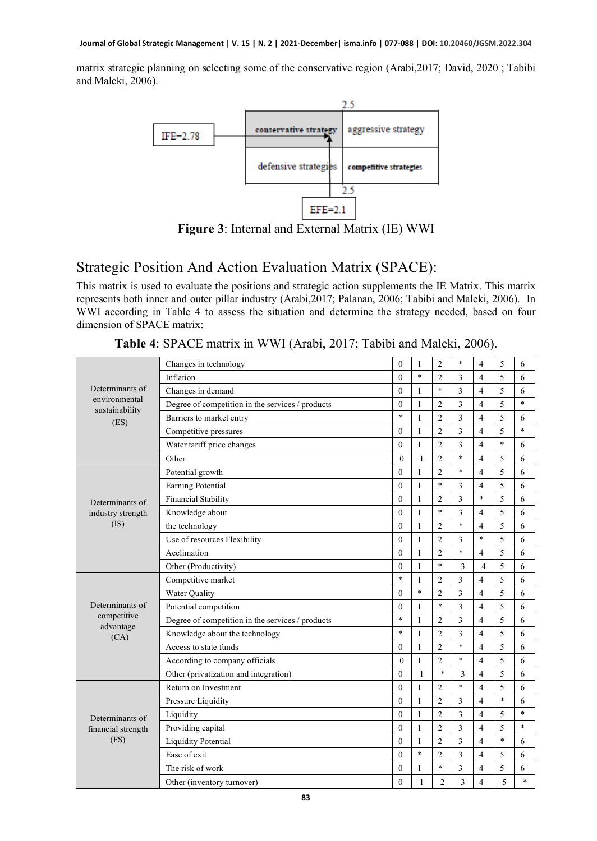matrix strategic planning on selecting some of the conservative region (Arabi,2017; David, 2020 ; Tabibi and Maleki, 2006).



**Figure 3**: Internal and External Matrix (IE) WWI

### Strategic Position And Action Evaluation Matrix (SPACE):

This matrix is used to evaluate the positions and strategic action supplements the IE Matrix. This matrix represents both inner and outer pillar industry (Arabi,2017; Palanan, 2006; Tabibi and Maleki, 2006). In WWI according in Table 4 to assess the situation and determine the strategy needed, based on four dimension of SPACE matrix:

|                                       | Changes in technology                            | $\theta$     | 1            | $\overline{2}$ | $\ast$         | 4                        | 5      | 6      |
|---------------------------------------|--------------------------------------------------|--------------|--------------|----------------|----------------|--------------------------|--------|--------|
| Determinants of                       | Inflation                                        | $\theta$     | $\ast$       | $\overline{2}$ | 3              | $\overline{\mathcal{L}}$ | 5      | 6      |
|                                       | Changes in demand                                | $\theta$     | 1            | $\ast$         | 3              | $\overline{\mathcal{L}}$ | 5      | 6      |
| environmental<br>sustainability       | Degree of competition in the services / products | $\theta$     | 1            | $\overline{2}$ | 3              | 4                        | 5      | $\ast$ |
| (ES)                                  | Barriers to market entry                         | $\ast$       | 1            | $\overline{2}$ | 3              | 4                        | 5      | 6      |
|                                       | Competitive pressures                            | $\theta$     | $\mathbf{1}$ | $\overline{2}$ | 3              | $\overline{\mathcal{L}}$ | 5      | $\ast$ |
|                                       | Water tariff price changes                       | $\theta$     | 1            | $\overline{2}$ | 3              | 4                        | $\ast$ | 6      |
|                                       | Other                                            | $\mathbf{0}$ | 1            | $\overline{2}$ | $\ast$         | 4                        | 5      | 6      |
|                                       | Potential growth                                 | $\theta$     | $\mathbf{1}$ | $\overline{2}$ | $\ast$         | $\overline{\mathcal{L}}$ | 5      | 6      |
|                                       | Earning Potential                                | $\theta$     | 1            | $\ast$         | 3              | 4                        | 5      | 6      |
| Determinants of                       | <b>Financial Stability</b>                       | $\mathbf{0}$ | 1            | $\overline{c}$ | $\overline{3}$ | $\ast$                   | 5      | 6      |
| industry strength                     | Knowledge about                                  | $\mathbf{0}$ | $\mathbf{1}$ | $\ast$         | 3              | $\overline{\mathbf{4}}$  | 5      | 6      |
| (IS)                                  | the technology                                   | $\theta$     | 1            | $\overline{2}$ | *              | 4                        | 5      | 6      |
|                                       | Use of resources Flexibility                     | $\theta$     | 1            | $\overline{2}$ | 3              | $\ast$                   | 5      | 6      |
|                                       | Acclimation                                      | $\theta$     | $\mathbf{1}$ | $\overline{2}$ | $\ast$         | $\overline{\mathbf{4}}$  | 5      | 6      |
|                                       | Other (Productivity)                             | $\mathbf{0}$ | $\mathbf{1}$ | $\ast$         | 3              | $\overline{4}$           | 5      | 6      |
|                                       | Competitive market                               | $\ast$       | 1            | $\overline{2}$ | 3              | 4                        | 5      | 6      |
|                                       | <b>Water Quality</b>                             | $\Omega$     | $\ast$       | $\overline{2}$ | 3              | $\overline{4}$           | 5      | 6      |
| Determinants of                       | Potential competition                            | $\theta$     | 1            | $\ast$         | 3              | 4                        | 5      | 6      |
| competitive<br>advantage              | Degree of competition in the services / products | $\ast$       | 1            | $\overline{2}$ | 3              | $\overline{\mathcal{L}}$ | 5      | 6      |
| (CA)                                  | Knowledge about the technology                   | $\ast$       | $\mathbf{1}$ | $\overline{2}$ | 3              | 4                        | 5      | 6      |
|                                       | Access to state funds                            | $\theta$     | 1            | $\overline{2}$ | $\ast$         | 4                        | 5      | 6      |
|                                       | According to company officials                   | $\theta$     | 1            | $\overline{2}$ | $\ast$         | 4                        | 5      | 6      |
|                                       | Other (privatization and integration)            | $\theta$     | 1            | $\ast$         | 3              | $\overline{\mathcal{L}}$ | 5      | 6      |
|                                       | Return on Investment                             | $\theta$     | $\mathbf{1}$ | $\overline{2}$ | $\ast$         | $\overline{\mathbf{4}}$  | 5      | 6      |
| Determinants of<br>financial strength | Pressure Liquidity                               | $\theta$     | 1            | $\overline{2}$ | 3              | 4                        | $\ast$ | 6      |
|                                       | Liquidity                                        | $\theta$     | $\mathbf{1}$ | $\overline{2}$ | 3              | $\overline{\mathcal{L}}$ | 5      | $\ast$ |
|                                       | Providing capital                                | $\theta$     | $\mathbf{1}$ | $\overline{2}$ | 3              | $\overline{\mathbf{4}}$  | 5      | $\ast$ |
| (FS)                                  | <b>Liquidity Potential</b>                       | $\theta$     | 1            | $\overline{2}$ | 3              | 4                        | $\ast$ | 6      |
|                                       | Ease of exit                                     | $\theta$     | $\ast$       | $\overline{c}$ | 3              | 4                        | 5      | 6      |
|                                       | The risk of work                                 | $\mathbf{0}$ | 1            | $\ast$         | 3              | $\overline{\mathcal{L}}$ | 5      | 6      |
|                                       | Other (inventory turnover)                       | $\theta$     | 1            | $\overline{2}$ | 3              | 4                        | 5      | $\ast$ |

**Table 4**: SPACE matrix in WWI (Arabi, 2017; Tabibi and Maleki, 2006).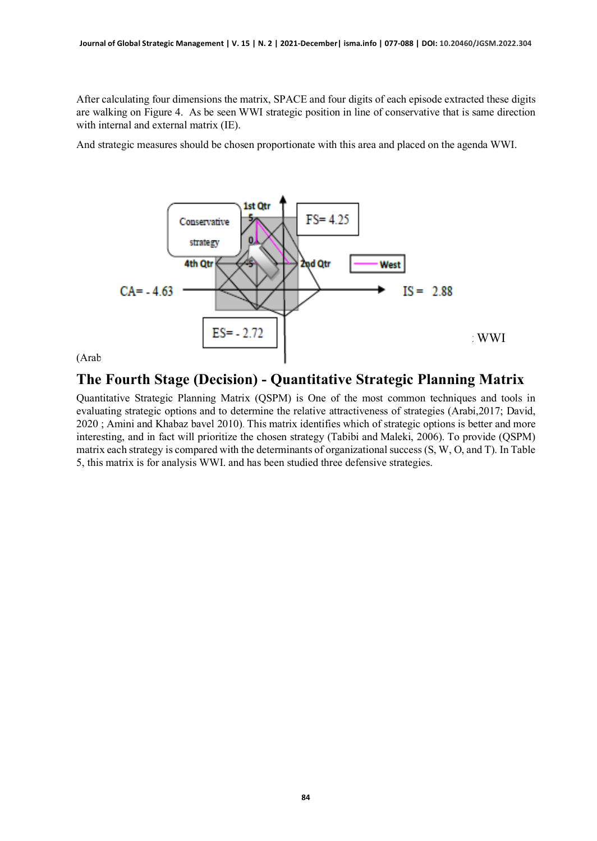After calculating four dimensions the matrix, SPACE and four digits of each episode extracted these digits are walking on Figure 4. As be seen WWI strategic position in line of conservative that is same direction with internal and external matrix (IE).

And strategic measures should be chosen proportionate with this area and placed on the agenda WWI.





#### **The Fourth Stage (Decision) - Quantitative Strategic Planning Matrix**

Quantitative Strategic Planning Matrix (QSPM) is One of the most common techniques and tools in evaluating strategic options and to determine the relative attractiveness of strategies (Arabi,2017; David, 2020 ; Amini and Khabaz bavel 2010). This matrix identifies which of strategic options is better and more interesting, and in fact will prioritize the chosen strategy (Tabibi and Maleki, 2006). To provide (QSPM) matrix each strategy is compared with the determinants of organizational success (S, W, O, and T). In Table 5, this matrix is for analysis WWI. and has been studied three defensive strategies.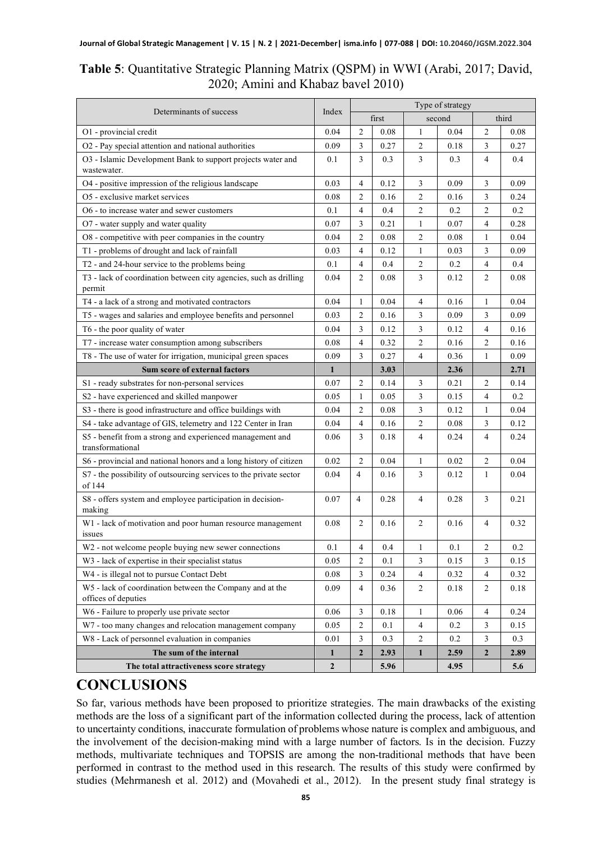| Table 5: Quantitative Strategic Planning Matrix (QSPM) in WWI (Arabi, 2017; David, |
|------------------------------------------------------------------------------------|
| 2020; Amini and Khabaz bavel 2010)                                                 |

|                                                                                 |              | Type of strategy        |       |                |        |                |       |
|---------------------------------------------------------------------------------|--------------|-------------------------|-------|----------------|--------|----------------|-------|
| Determinants of success                                                         | Index        |                         | first |                | second |                | third |
| O1 - provincial credit                                                          | 0.04         | $\overline{\mathbf{c}}$ | 0.08  | 1              | 0.04   | 2              | 0.08  |
| O2 - Pay special attention and national authorities                             | 0.09         | 3                       | 0.27  | 2              | 0.18   | 3              | 0.27  |
| O3 - Islamic Development Bank to support projects water and<br>wastewater.      | 0.1          | 3                       | 0.3   | 3              | 0.3    | $\overline{4}$ | 0.4   |
| O4 - positive impression of the religious landscape                             | 0.03         | 4                       | 0.12  | 3              | 0.09   | 3              | 0.09  |
| O5 - exclusive market services                                                  | 0.08         | 2                       | 0.16  | 2              | 0.16   | 3              | 0.24  |
| O6 - to increase water and sewer customers                                      | 0.1          | 4                       | 0.4   | 2              | 0.2    | $\overline{2}$ | 0.2   |
| O7 - water supply and water quality                                             | 0.07         | 3                       | 0.21  | 1              | 0.07   | 4              | 0.28  |
| O8 - competitive with peer companies in the country                             | 0.04         | 2                       | 0.08  | 2              | 0.08   | 1              | 0.04  |
| T1 - problems of drought and lack of rainfall                                   | 0.03         | 4                       | 0.12  | 1              | 0.03   | 3              | 0.09  |
| T2 - and 24-hour service to the problems being                                  | 0.1          | 4                       | 0.4   | 2              | 0.2    | 4              | 0.4   |
| T3 - lack of coordination between city agencies, such as drilling<br>permit     | 0.04         | $\overline{2}$          | 0.08  | 3              | 0.12   | 2              | 0.08  |
| T4 - a lack of a strong and motivated contractors                               | 0.04         | 1                       | 0.04  | 4              | 0.16   | 1              | 0.04  |
| T5 - wages and salaries and employee benefits and personnel                     | 0.03         | 2                       | 0.16  | 3              | 0.09   | 3              | 0.09  |
| T6 - the poor quality of water                                                  | 0.04         | 3                       | 0.12  | 3              | 0.12   | 4              | 0.16  |
| T7 - increase water consumption among subscribers                               | 0.08         | 4                       | 0.32  | 2              | 0.16   | $\overline{c}$ | 0.16  |
| T8 - The use of water for irrigation, municipal green spaces                    | 0.09         | 3                       | 0.27  | 4              | 0.36   | $\mathbf{1}$   | 0.09  |
| Sum score of external factors                                                   | $\mathbf{1}$ |                         | 3.03  |                | 2.36   |                | 2.71  |
| S1 - ready substrates for non-personal services                                 | 0.07         | 2                       | 0.14  | 3              | 0.21   | 2              | 0.14  |
| S2 - have experienced and skilled manpower                                      | 0.05         | 1                       | 0.05  | 3              | 0.15   | $\overline{4}$ | 0.2   |
| S3 - there is good infrastructure and office buildings with                     | 0.04         | 2                       | 0.08  | 3              | 0.12   | 1              | 0.04  |
| S4 - take advantage of GIS, telemetry and 122 Center in Iran                    | 0.04         | 4                       | 0.16  | 2              | 0.08   | 3              | 0.12  |
| S5 - benefit from a strong and experienced management and<br>transformational   | 0.06         | 3                       | 0.18  | 4              | 0.24   | 4              | 0.24  |
| S6 - provincial and national honors and a long history of citizen               | 0.02         | $\overline{2}$          | 0.04  | 1              | 0.02   | $\overline{2}$ | 0.04  |
| S7 - the possibility of outsourcing services to the private sector<br>of 144    | 0.04         | $\overline{4}$          | 0.16  | 3              | 0.12   | 1              | 0.04  |
| S8 - offers system and employee participation in decision-<br>making            | 0.07         | $\overline{4}$          | 0.28  | 4              | 0.28   | 3              | 0.21  |
| W1 - lack of motivation and poor human resource management<br>issues            | 0.08         | $\overline{2}$          | 0.16  | 2              | 0.16   | 4              | 0.32  |
| W <sub>2</sub> - not welcome people buying new sewer connections                | 0.1          | 4                       | 0.4   | 1              | 0.1    | $\overline{c}$ | 0.2   |
| W3 - lack of expertise in their specialist status                               | 0.05         | 2                       | 0.1   | 3              | 0.15   | 3              | 0.15  |
| W4 - is illegal not to pursue Contact Debt                                      | 0.08         | 3                       | 0.24  | 4              | 0.32   | $\overline{4}$ | 0.32  |
| W5 - lack of coordination between the Company and at the<br>offices of deputies | 0.09         | 4                       | 0.36  | 2              | 0.18   | $\overline{c}$ | 0.18  |
| W6 - Failure to properly use private sector                                     | 0.06         | 3                       | 0.18  | 1              | 0.06   | 4              | 0.24  |
| W7 - too many changes and relocation management company                         | 0.05         | 2                       | 0.1   | 4              | 0.2    | 3              | 0.15  |
| W8 - Lack of personnel evaluation in companies                                  | 0.01         | 3                       | 0.3   | $\overline{c}$ | 0.2    | $\mathfrak{Z}$ | 0.3   |
| The sum of the internal                                                         | $\mathbf{1}$ | $\boldsymbol{2}$        | 2.93  | $\mathbf{1}$   | 2.59   | $\mathbf{2}$   | 2.89  |
| The total attractiveness score strategy                                         | $\mathbf{2}$ |                         | 5.96  |                | 4.95   |                | 5.6   |

### **CONCLUSIONS**

So far, various methods have been proposed to prioritize strategies. The main drawbacks of the existing methods are the loss of a significant part of the information collected during the process, lack of attention to uncertainty conditions, inaccurate formulation of problems whose nature is complex and ambiguous, and the involvement of the decision-making mind with a large number of factors. Is in the decision. Fuzzy methods, multivariate techniques and TOPSIS are among the non-traditional methods that have been performed in contrast to the method used in this research. The results of this study were confirmed by studies (Mehrmanesh et al. 2012) and (Movahedi et al., 2012). In the present study final strategy is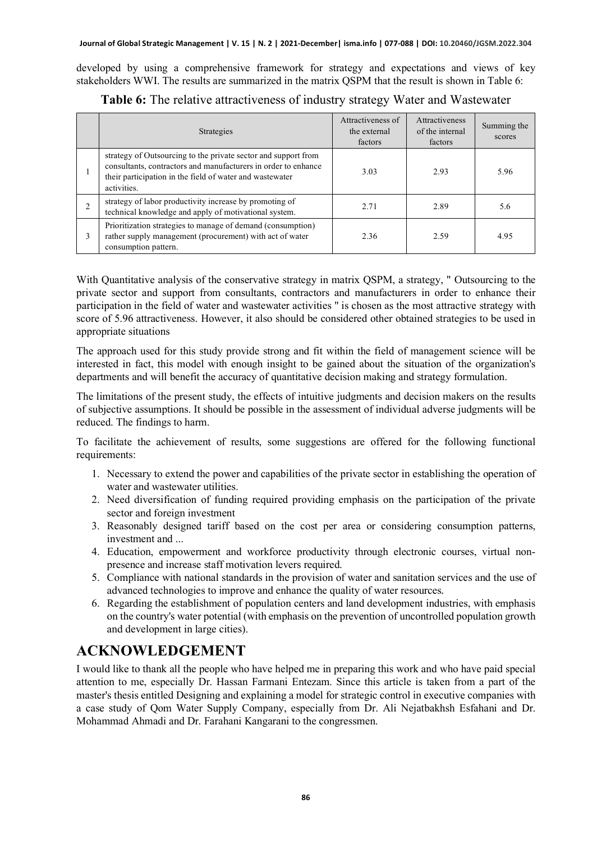developed by using a comprehensive framework for strategy and expectations and views of key stakeholders WWI. The results are summarized in the matrix QSPM that the result is shown in Table 6:

|   | Strategies                                                                                                                                                                                                  | Attractiveness of<br>the external<br>factors | <b>Attractiveness</b><br>of the internal<br>factors | Summing the<br>scores |
|---|-------------------------------------------------------------------------------------------------------------------------------------------------------------------------------------------------------------|----------------------------------------------|-----------------------------------------------------|-----------------------|
|   | strategy of Outsourcing to the private sector and support from<br>consultants, contractors and manufacturers in order to enhance<br>their participation in the field of water and wastewater<br>activities. | 3.03                                         | 2.93                                                | 5.96                  |
|   | strategy of labor productivity increase by promoting of<br>technical knowledge and apply of motivational system.                                                                                            | 2.71                                         | 2.89                                                | 5.6                   |
| 3 | Prioritization strategies to manage of demand (consumption)<br>rather supply management (procurement) with act of water<br>consumption pattern.                                                             | 2.36                                         | 2.59                                                | 4.95                  |

**Table 6:** The relative attractiveness of industry strategy Water and Wastewater

With Quantitative analysis of the conservative strategy in matrix QSPM, a strategy, " Outsourcing to the private sector and support from consultants, contractors and manufacturers in order to enhance their participation in the field of water and wastewater activities " is chosen as the most attractive strategy with score of 5.96 attractiveness. However, it also should be considered other obtained strategies to be used in appropriate situations

The approach used for this study provide strong and fit within the field of management science will be interested in fact, this model with enough insight to be gained about the situation of the organization's departments and will benefit the accuracy of quantitative decision making and strategy formulation.

The limitations of the present study, the effects of intuitive judgments and decision makers on the results of subjective assumptions. It should be possible in the assessment of individual adverse judgments will be reduced. The findings to harm.

To facilitate the achievement of results, some suggestions are offered for the following functional requirements:

- 1. Necessary to extend the power and capabilities of the private sector in establishing the operation of water and wastewater utilities.
- 2. Need diversification of funding required providing emphasis on the participation of the private sector and foreign investment
- 3. Reasonably designed tariff based on the cost per area or considering consumption patterns, investment and ...
- 4. Education, empowerment and workforce productivity through electronic courses, virtual nonpresence and increase staff motivation levers required.
- 5. Compliance with national standards in the provision of water and sanitation services and the use of advanced technologies to improve and enhance the quality of water resources .
- 6. Regarding the establishment of population centers and land development industries, with emphasis on the country's water potential (with emphasis on the prevention of uncontrolled population growth and development in large cities).

### **ACKNOWLEDGEMENT**

I would like to thank all the people who have helped me in preparing this work and who have paid special attention to me, especially Dr. Hassan Farmani Entezam. Since this article is taken from a part of the master's thesis entitled Designing and explaining a model for strategic control in executive companies with a case study of Qom Water Supply Company, especially from Dr. Ali Nejatbakhsh Esfahani and Dr. Mohammad Ahmadi and Dr. Farahani Kangarani to the congressmen.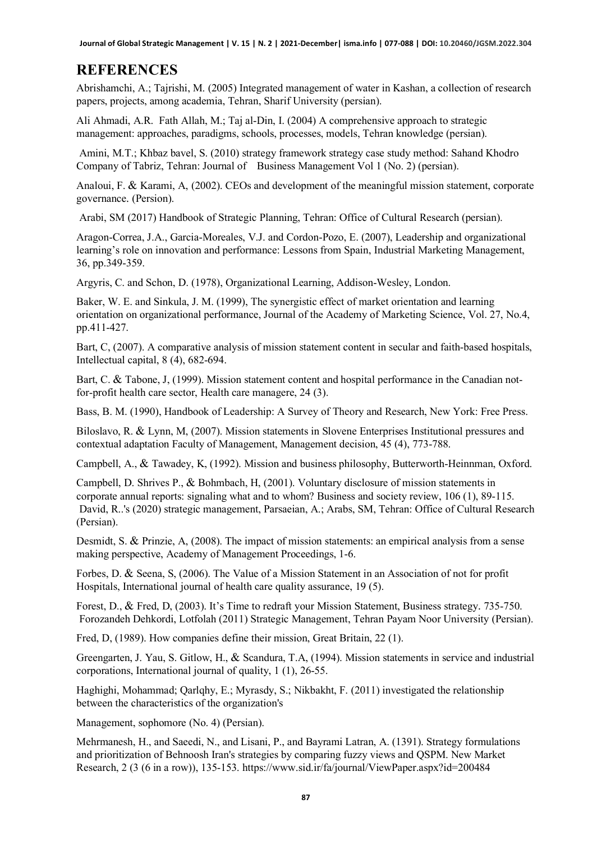**Journal of Global Strategic Management | V. 15 | N. 2 | 2021-December| isma.info | 077-088 | DOI: 10.20460/JGSM.2022.304**

### **REFERENCES**

Abrishamchi, A.; Tajrishi, M. (2005) Integrated management of water in Kashan, a collection of research papers, projects, among academia, Tehran, Sharif University (persian).

Ali Ahmadi, A.R. Fath Allah, M.; Taj al-Din, I. (2004) A comprehensive approach to strategic management: approaches, paradigms, schools, processes, models, Tehran knowledge (persian).

Amini, M.T.; Khbaz bavel, S. (2010) strategy framework strategy case study method: Sahand Khodro Company of Tabriz, Tehran: Journal of Business Management Vol 1 (No. 2) (persian).

Analoui, F. & Karami, A, (2002). CEOs and development of the meaningful mission statement, corporate governance. (Persion).

Arabi, SM (2017) Handbook of Strategic Planning, Tehran: Office of Cultural Research (persian).

Aragon-Correa, J.A., Garcia-Moreales, V.J. and Cordon-Pozo, E. (2007), Leadership and organizational learning's role on innovation and performance: Lessons from Spain, Industrial Marketing Management, 36, pp.349-359.

Argyris, C. and Schon, D. (1978), Organizational Learning, Addison-Wesley, London.

Baker, W. E. and Sinkula, J. M. (1999), The synergistic effect of market orientation and learning orientation on organizational performance, Journal of the Academy of Marketing Science, Vol. 27, No.4, pp.411-427.

Bart, C, (2007). A comparative analysis of mission statement content in secular and faith-based hospitals, Intellectual capital, 8 (4), 682-694.

Bart, C. & Tabone, J, (1999). Mission statement content and hospital performance in the Canadian notfor-profit health care sector, Health care managere, 24 (3).

Bass, B. M. (1990), Handbook of Leadership: A Survey of Theory and Research, New York: Free Press.

Biloslavo, R. & Lynn, M, (2007). Mission statements in Slovene Enterprises Institutional pressures and contextual adaptation Faculty of Management, Management decision, 45 (4), 773-788.

Campbell, A., & Tawadey, K, (1992). Mission and business philosophy, Butterworth-Heinnman, Oxford.

Campbell, D. Shrives P., & Bohmbach, H, (2001). Voluntary disclosure of mission statements in corporate annual reports: signaling what and to whom? Business and society review, 106 (1), 89-115. David, R..'s (2020) strategic management, Parsaeian, A.; Arabs, SM, Tehran: Office of Cultural Research (Persian).

Desmidt, S. & Prinzie, A, (2008). The impact of mission statements: an empirical analysis from a sense making perspective, Academy of Management Proceedings, 1-6.

Forbes, D. & Seena, S, (2006). The Value of a Mission Statement in an Association of not for profit Hospitals, International journal of health care quality assurance, 19 (5).

Forest, D., & Fred, D, (2003). It's Time to redraft your Mission Statement, Business strategy. 735-750. Forozandeh Dehkordi, Lotfolah (2011) Strategic Management, Tehran Payam Noor University (Persian).

Fred, D, (1989). How companies define their mission, Great Britain, 22 (1).

Greengarten, J. Yau, S. Gitlow, H., & Scandura, T.A, (1994). Mission statements in service and industrial corporations, International journal of quality, 1 (1), 26-55.

Haghighi, Mohammad; Qarlqhy, E.; Myrasdy, S.; Nikbakht, F. (2011) investigated the relationship between the characteristics of the organization's

Management, sophomore (No. 4) (Persian).

Mehrmanesh, H., and Saeedi, N., and Lisani, P., and Bayrami Latran, A. (1391). Strategy formulations and prioritization of Behnoosh Iran's strategies by comparing fuzzy views and QSPM. New Market Research, 2 (3 (6 in a row)), 135-153. https://www.sid.ir/fa/journal/ViewPaper.aspx?id=200484